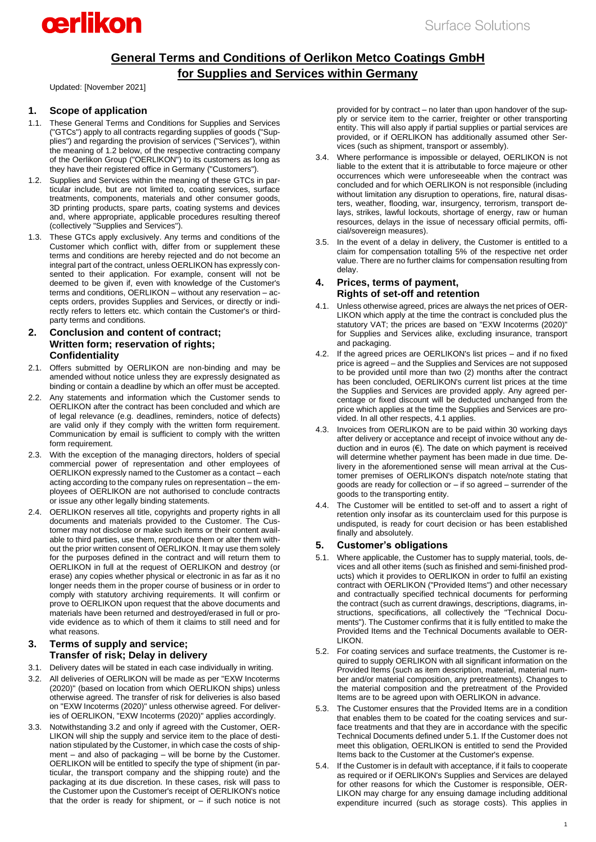# cerlikon

# **General Terms and Conditions of Oerlikon Metco Coatings GmbH for Supplies and Services within Germany**

Updated: [November 2021]

# **1. Scope of application**

- 1.1. These General Terms and Conditions for Supplies and Services ("GTCs") apply to all contracts regarding supplies of goods ("Supplies") and regarding the provision of services ("Services"), within the meaning of [1.2](#page-0-0) below, of the respective contracting company of the Oerlikon Group ("OERLIKON") to its customers as long as they have their registered office in Germany ("Customers").
- <span id="page-0-0"></span>1.2. Supplies and Services within the meaning of these GTCs in particular include, but are not limited to, coating services, surface treatments, components, materials and other consumer goods, 3D printing products, spare parts, coating systems and devices and, where appropriate, applicable procedures resulting thereof (collectively "Supplies and Services").
- 1.3. These GTCs apply exclusively. Any terms and conditions of the Customer which conflict with, differ from or supplement these terms and conditions are hereby rejected and do not become an integral part of the contract, unless OERLIKON has expressly consented to their application. For example, consent will not be deemed to be given if, even with knowledge of the Customer's terms and conditions, OERLIKON – without any reservation – accepts orders, provides Supplies and Services, or directly or indirectly refers to letters etc. which contain the Customer's or thirdparty terms and conditions.

### **2. Conclusion and content of contract; Written form; reservation of rights; Confidentiality**

- 2.1. Offers submitted by OERLIKON are non-binding and may be amended without notice unless they are expressly designated as binding or contain a deadline by which an offer must be accepted.
- 2.2. Any statements and information which the Customer sends to OERLIKON after the contract has been concluded and which are of legal relevance (e.g. deadlines, reminders, notice of defects) are valid only if they comply with the written form requirement. Communication by email is sufficient to comply with the written form requirement.
- 2.3. With the exception of the managing directors, holders of special commercial power of representation and other employees of OERLIKON expressly named to the Customer as a contact – each acting according to the company rules on representation – the employees of OERLIKON are not authorised to conclude contracts or issue any other legally binding statements.
- 2.4. OERLIKON reserves all title, copyrights and property rights in all documents and materials provided to the Customer. The Customer may not disclose or make such items or their content available to third parties, use them, reproduce them or alter them without the prior written consent of OERLIKON. It may use them solely for the purposes defined in the contract and will return them to OERLIKON in full at the request of OERLIKON and destroy (or erase) any copies whether physical or electronic in as far as it no longer needs them in the proper course of business or in order to comply with statutory archiving requirements. It will confirm or prove to OERLIKON upon request that the above documents and materials have been returned and destroyed/erased in full or provide evidence as to which of them it claims to still need and for what reasons.

#### **3. Terms of supply and service; Transfer of risk; Delay in delivery**

- 3.1. Delivery dates will be stated in each case individually in writing.
- <span id="page-0-1"></span>3.2. All deliveries of OERLIKON will be made as per "EXW Incoterms (2020)" (based on location from which OERLIKON ships) unless otherwise agreed. The transfer of risk for deliveries is also based on "EXW Incoterms (2020)" unless otherwise agreed. For deliveries of OERLIKON, "EXW Incoterms (2020)" applies accordingly.
- 3.3. Notwithstanding [3.2](#page-0-1) and only if agreed with the Customer, OER-LIKON will ship the supply and service item to the place of destination stipulated by the Customer, in which case the costs of shipment – and also of packaging – will be borne by the Customer. OERLIKON will be entitled to specify the type of shipment (in particular, the transport company and the shipping route) and the packaging at its due discretion. In these cases, risk will pass to the Customer upon the Customer's receipt of OERLIKON's notice that the order is ready for shipment, or  $-$  if such notice is not

provided for by contract – no later than upon handover of the supply or service item to the carrier, freighter or other transporting entity. This will also apply if partial supplies or partial services are provided, or if OERLIKON has additionally assumed other Services (such as shipment, transport or assembly).

- 3.4. Where performance is impossible or delayed, OERLIKON is not liable to the extent that it is attributable to force majeure or other occurrences which were unforeseeable when the contract was concluded and for which OERLIKON is not responsible (including without limitation any disruption to operations, fire, natural disasters, weather, flooding, war, insurgency, terrorism, transport delays, strikes, lawful lockouts, shortage of energy, raw or human resources, delays in the issue of necessary official permits, official/sovereign measures).
- 3.5. In the event of a delay in delivery, the Customer is entitled to a claim for compensation totalling 5% of the respective net order value. There are no further claims for compensation resulting from delay.

#### **4. Prices, terms of payment, Rights of set-off and retention**

- <span id="page-0-2"></span>4.1. Unless otherwise agreed, prices are always the net prices of OER-LIKON which apply at the time the contract is concluded plus the statutory VAT; the prices are based on "EXW Incoterms (2020)" for Supplies and Services alike, excluding insurance, transport and packaging.
- 4.2. If the agreed prices are OERLIKON's list prices and if no fixed price is agreed – and the Supplies and Services are not supposed to be provided until more than two (2) months after the contract has been concluded, OERLIKON's current list prices at the time the Supplies and Services are provided apply. Any agreed percentage or fixed discount will be deducted unchanged from the price which applies at the time the Supplies and Services are provided. In all other respects[, 4.1](#page-0-2) applies.
- 4.3. Invoices from OERLIKON are to be paid within 30 working days after delivery or acceptance and receipt of invoice without any deduction and in euros (€). The date on which payment is received will determine whether payment has been made in due time. Delivery in the aforementioned sense will mean arrival at the Customer premises of OERLIKON's dispatch note/note stating that goods are ready for collection or – if so agreed – surrender of the goods to the transporting entity.
- 4.4. The Customer will be entitled to set-off and to assert a right of retention only insofar as its counterclaim used for this purpose is undisputed, is ready for court decision or has been established finally and absolutely.

## **5. Customer's obligations**

- <span id="page-0-3"></span>5.1. Where applicable, the Customer has to supply material, tools, devices and all other items (such as finished and semi-finished products) which it provides to OERLIKON in order to fulfil an existing contract with OERLIKON ("Provided Items") and other necessary and contractually specified technical documents for performing the contract (such as current drawings, descriptions, diagrams, instructions, specifications, all collectively the "Technical Documents"). The Customer confirms that it is fully entitled to make the Provided Items and the Technical Documents available to OER-LIKON.
- 5.2. For coating services and surface treatments, the Customer is required to supply OERLIKON with all significant information on the Provided Items (such as item description, material, material number and/or material composition, any pretreatments). Changes to the material composition and the pretreatment of the Provided Items are to be agreed upon with OERLIKON in advance.
- 5.3. The Customer ensures that the Provided Items are in a condition that enables them to be coated for the coating services and surface treatments and that they are in accordance with the specific Technical Documents defined unde[r 5.1.](#page-0-3) If the Customer does not meet this obligation, OERLIKON is entitled to send the Provided Items back to the Customer at the Customer's expense.
- 5.4. If the Customer is in default with acceptance, if it fails to cooperate as required or if OERLIKON's Supplies and Services are delayed for other reasons for which the Customer is responsible, OER-LIKON may charge for any ensuing damage including additional expenditure incurred (such as storage costs). This applies in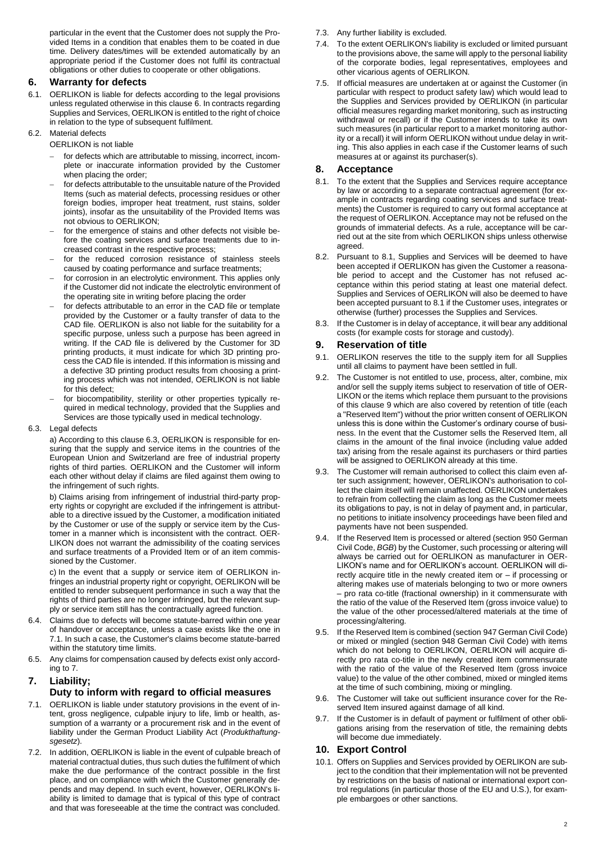particular in the event that the Customer does not supply the Provided Items in a condition that enables them to be coated in due time. Delivery dates/times will be extended automatically by an appropriate period if the Customer does not fulfil its contractual obligations or other duties to cooperate or other obligations.

#### <span id="page-1-0"></span>**6. Warranty for defects**

- 6.1. OERLIKON is liable for defects according to the legal provisions unless regulated otherwise in this clause [6.](#page-1-0) In contracts regarding Supplies and Services, OERLIKON is entitled to the right of choice in relation to the type of subsequent fulfilment.
- 6.2. Material defects
	- OERLIKON is not liable
		- for defects which are attributable to missing, incorrect, incomplete or inaccurate information provided by the Customer when placing the order:
		- for defects attributable to the unsuitable nature of the Provided Items (such as material defects, processing residues or other foreign bodies, improper heat treatment, rust stains, solder joints), insofar as the unsuitability of the Provided Items was not obvious to OERLIKON;
		- for the emergence of stains and other defects not visible before the coating services and surface treatments due to increased contrast in the respective process;
		- for the reduced corrosion resistance of stainless steels caused by coating performance and surface treatments;
		- for corrosion in an electrolytic environment. This applies only if the Customer did not indicate the electrolytic environment of the operating site in writing before placing the order
		- for defects attributable to an error in the CAD file or template provided by the Customer or a faulty transfer of data to the CAD file. OERLIKON is also not liable for the suitability for a specific purpose, unless such a purpose has been agreed in writing. If the CAD file is delivered by the Customer for 3D printing products, it must indicate for which 3D printing process the CAD file is intended. If this information is missing and a defective 3D printing product results from choosing a printing process which was not intended, OERLIKON is not liable for this defect;
		- for biocompatibility, sterility or other properties typically required in medical technology, provided that the Supplies and Services are those typically used in medical technology.
- <span id="page-1-1"></span>6.3. Legal defects

a) According to this clause [6.3,](#page-1-1) OERLIKON is responsible for ensuring that the supply and service items in the countries of the European Union and Switzerland are free of industrial property rights of third parties. OERLIKON and the Customer will inform each other without delay if claims are filed against them owing to the infringement of such rights.

b) Claims arising from infringement of industrial third-party property rights or copyright are excluded if the infringement is attributable to a directive issued by the Customer, a modification initiated by the Customer or use of the supply or service item by the Customer in a manner which is inconsistent with the contract. OER-LIKON does not warrant the admissibility of the coating services and surface treatments of a Provided Item or of an item commissioned by the Customer.

c) In the event that a supply or service item of OERLIKON infringes an industrial property right or copyright, OERLIKON will be entitled to render subsequent performance in such a way that the rights of third parties are no longer infringed, but the relevant supply or service item still has the contractually agreed function.

- 6.4. Claims due to defects will become statute-barred within one year of handover or acceptance, unless a case exists like the one in [7.1.](#page-1-2) In such a case, the Customer's claims become statute-barred within the statutory time limits.
- 6.5. Any claims for compensation caused by defects exist only according t[o 7.](#page-1-3)

# <span id="page-1-3"></span>**7. Liability;**

## **Duty to inform with regard to official measures**

- <span id="page-1-2"></span>7.1. OERLIKON is liable under statutory provisions in the event of intent, gross negligence, culpable injury to life, limb or health, assumption of a warranty or a procurement risk and in the event of liability under the German Product Liability Act (*Produkthaftungsgesetz*).
- 7.2. In addition, OERLIKON is liable in the event of culpable breach of material contractual duties, thus such duties the fulfilment of which make the due performance of the contract possible in the first place, and on compliance with which the Customer generally depends and may depend. In such event, however, OERLIKON's liability is limited to damage that is typical of this type of contract and that was foreseeable at the time the contract was concluded.
- 7.3. Any further liability is excluded.
- 7.4. To the extent OERLIKON's liability is excluded or limited pursuant to the provisions above, the same will apply to the personal liability of the corporate bodies, legal representatives, employees and other vicarious agents of OERLIKON.
- 7.5. If official measures are undertaken at or against the Customer (in particular with respect to product safety law) which would lead to the Supplies and Services provided by OERLIKON (in particular official measures regarding market monitoring, such as instructing withdrawal or recall) or if the Customer intends to take its own such measures (in particular report to a market monitoring authority or a recall) it will inform OERLIKON without undue delay in writing. This also applies in each case if the Customer learns of such measures at or against its purchaser(s).

#### **8. Acceptance**

- <span id="page-1-4"></span>8.1. To the extent that the Supplies and Services require acceptance by law or according to a separate contractual agreement (for example in contracts regarding coating services and surface treatments) the Customer is required to carry out formal acceptance at the request of OERLIKON. Acceptance may not be refused on the grounds of immaterial defects. As a rule, acceptance will be carried out at the site from which OERLIKON ships unless otherwise agreed.
- 8.2. Pursuant to [8.1,](#page-1-4) Supplies and Services will be deemed to have been accepted if OERLIKON has given the Customer a reasonable period to accept and the Customer has not refused acceptance within this period stating at least one material defect. Supplies and Services of OERLIKON will also be deemed to have been accepted pursuant t[o 8.1](#page-1-4) if the Customer uses, integrates or otherwise (further) processes the Supplies and Services.
- 8.3. If the Customer is in delay of acceptance, it will bear any additional costs (for example costs for storage and custody).

#### <span id="page-1-5"></span>**9. Reservation of title**

- 9.1. OERLIKON reserves the title to the supply item for all Supplies until all claims to payment have been settled in full.
- 9.2. The Customer is not entitled to use, process, alter, combine, mix and/or sell the supply items subject to reservation of title of OER-LIKON or the items which replace them pursuant to the provisions of this clause [9](#page-1-5) which are also covered by retention of title (each a "Reserved Item") without the prior written consent of OERLIKON unless this is done within the Customer's ordinary course of business. In the event that the Customer sells the Reserved Item, all claims in the amount of the final invoice (including value added tax) arising from the resale against its purchasers or third parties will be assigned to OERLIKON already at this time.
- 9.3. The Customer will remain authorised to collect this claim even after such assignment; however, OERLIKON's authorisation to collect the claim itself will remain unaffected. OERLIKON undertakes to refrain from collecting the claim as long as the Customer meets its obligations to pay, is not in delay of payment and, in particular, no petitions to initiate insolvency proceedings have been filed and payments have not been suspended.
- 9.4. If the Reserved Item is processed or altered (section 950 German Civil Code, *BGB*) by the Customer, such processing or altering will always be carried out for OERLIKON as manufacturer in OER-LIKON's name and for OERLIKON's account. OERLIKON will directly acquire title in the newly created item or – if processing or altering makes use of materials belonging to two or more owners – pro rata co-title (fractional ownership) in it commensurate with the ratio of the value of the Reserved Item (gross invoice value) to the value of the other processed/altered materials at the time of processing/altering.
- 9.5. If the Reserved Item is combined (section 947 German Civil Code) or mixed or mingled (section 948 German Civil Code) with items which do not belong to OERLIKON, OERLIKON will acquire directly pro rata co-title in the newly created item commensurate with the ratio of the value of the Reserved Item (gross invoice value) to the value of the other combined, mixed or mingled items at the time of such combining, mixing or mingling.
- 9.6. The Customer will take out sufficient insurance cover for the Reserved Item insured against damage of all kind.
- 9.7. If the Customer is in default of payment or fulfilment of other obligations arising from the reservation of title, the remaining debts will become due immediately.

#### **10. Export Control**

10.1. Offers on Supplies and Services provided by OERLIKON are subject to the condition that their implementation will not be prevented by restrictions on the basis of national or international export control regulations (in particular those of the EU and U.S.), for example embargoes or other sanctions.